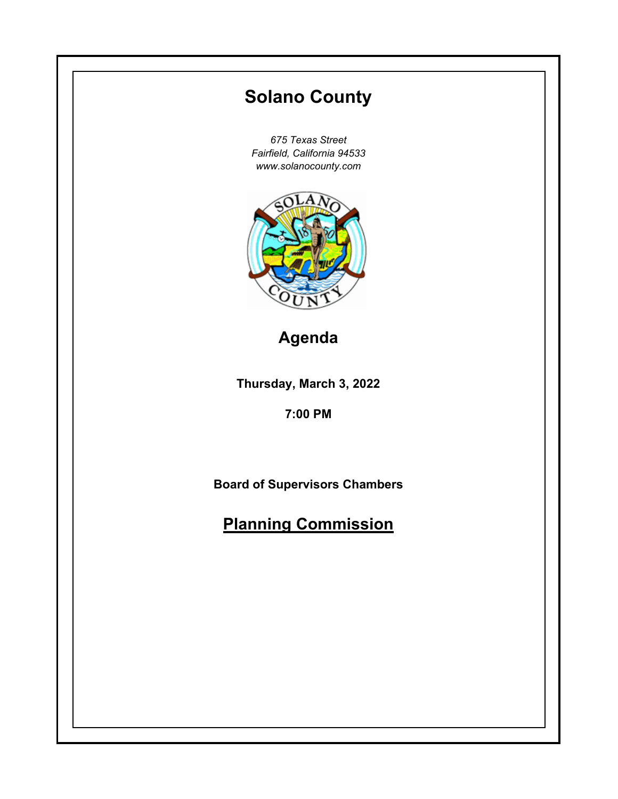# **Thursday, March 3, 2022 7:00 PM Solano County** *675 Texas Street Fairfield, California 94533 www.solanocounty.com* **Board of Supervisors Chambers Planning Commission Agenda**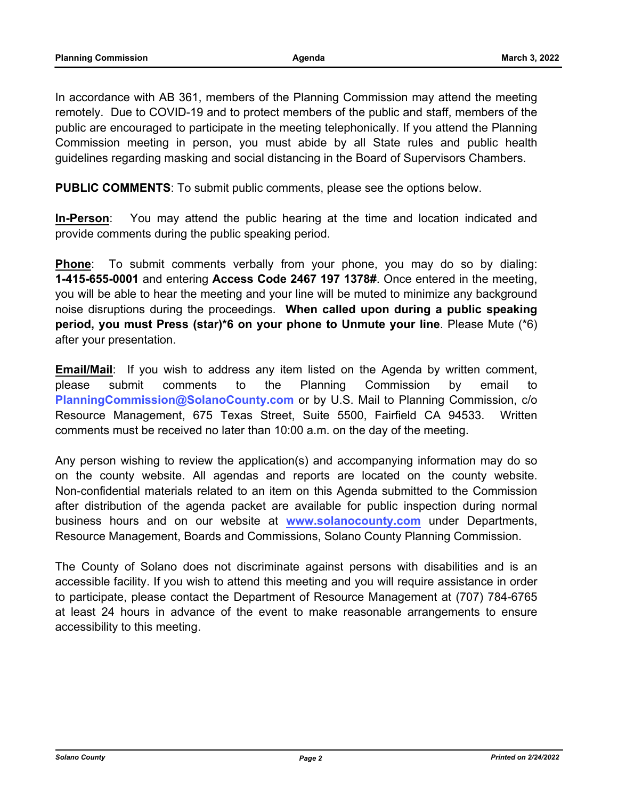In accordance with AB 361, members of the Planning Commission may attend the meeting remotely. Due to COVID-19 and to protect members of the public and staff, members of the public are encouraged to participate in the meeting telephonically. If you attend the Planning Commission meeting in person, you must abide by all State rules and public health guidelines regarding masking and social distancing in the Board of Supervisors Chambers.

**PUBLIC COMMENTS**: To submit public comments, please see the options below.

**In-Person**: You may attend the public hearing at the time and location indicated and provide comments during the public speaking period.

**Phone**: To submit comments verbally from your phone, you may do so by dialing: **1-415-655-0001** and entering **Access Code 2467 197 1378#**. Once entered in the meeting, you will be able to hear the meeting and your line will be muted to minimize any background noise disruptions during the proceedings. **When called upon during a public speaking period, you must Press (star)\*6 on your phone to Unmute your line**. Please Mute (\*6) after your presentation.

**Email/Mail**: If you wish to address any item listed on the Agenda by written comment, please submit comments to the Planning Commission by email to **PlanningCommission@SolanoCounty.com** or by U.S. Mail to Planning Commission, c/o Resource Management, 675 Texas Street, Suite 5500, Fairfield CA 94533. Written comments must be received no later than 10:00 a.m. on the day of the meeting.

Any person wishing to review the application(s) and accompanying information may do so on the county website. All agendas and reports are located on the county website. Non-confidential materials related to an item on this Agenda submitted to the Commission after distribution of the agenda packet are available for public inspection during normal business hours and on our website at **www.solanocounty.com** under Departments, Resource Management, Boards and Commissions, Solano County Planning Commission.

The County of Solano does not discriminate against persons with disabilities and is an accessible facility. If you wish to attend this meeting and you will require assistance in order to participate, please contact the Department of Resource Management at (707) 784-6765 at least 24 hours in advance of the event to make reasonable arrangements to ensure accessibility to this meeting.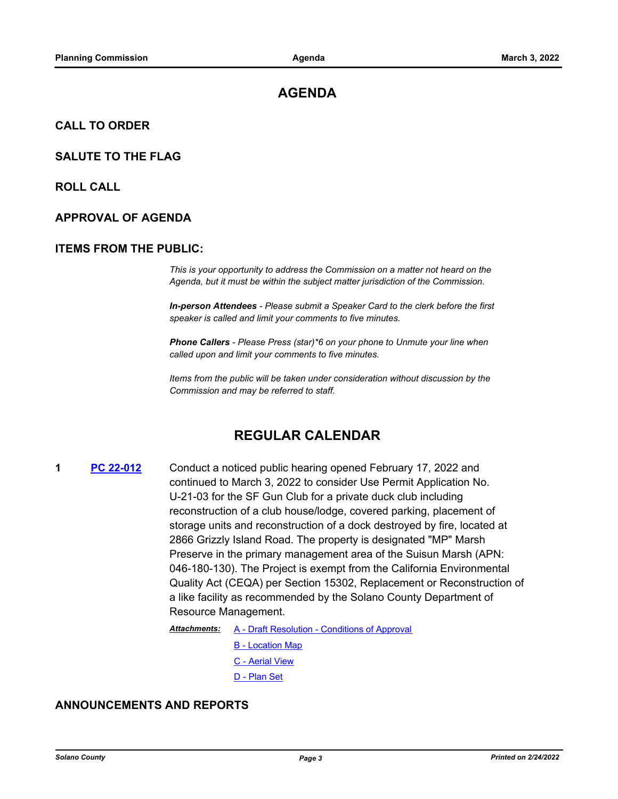# **AGENDA**

### **CALL TO ORDER**

### **SALUTE TO THE FLAG**

**ROLL CALL**

### **APPROVAL OF AGENDA**

### **ITEMS FROM THE PUBLIC:**

*This is your opportunity to address the Commission on a matter not heard on the Agenda, but it must be within the subject matter jurisdiction of the Commission.* 

*In-person Attendees - Please submit a Speaker Card to the clerk before the first speaker is called and limit your comments to five minutes.* 

*Phone Callers - Please Press (star)\*6 on your phone to Unmute your line when called upon and limit your comments to five minutes.* 

*Items from the public will be taken under consideration without discussion by the Commission and may be referred to staff.*

# **REGULAR CALENDAR**

**1 [PC 22-012](http://solano.legistar.com/gateway.aspx?m=l&id=/matter.aspx?key=16733)** Conduct a noticed public hearing opened February 17, 2022 and continued to March 3, 2022 to consider Use Permit Application No. U-21-03 for the SF Gun Club for a private duck club including reconstruction of a club house/lodge, covered parking, placement of storage units and reconstruction of a dock destroyed by fire, located at 2866 Grizzly Island Road. The property is designated "MP" Marsh Preserve in the primary management area of the Suisun Marsh (APN: 046-180-130). The Project is exempt from the California Environmental Quality Act (CEQA) per Section 15302, Replacement or Reconstruction of a like facility as recommended by the Solano County Department of Resource Management.

> [A - Draft Resolution - Conditions of Approval](http://solano.legistar.com/gateway.aspx?M=F&ID=21a62074-8885-4aab-9491-87be9aa39df6.pdf) *Attachments:*

- [B Location Map](http://solano.legistar.com/gateway.aspx?M=F&ID=85019f5e-8a81-4dbc-9ff9-6835b35b945f.pdf)
- [C Aerial View](http://solano.legistar.com/gateway.aspx?M=F&ID=aa65bfbf-9863-4bbc-bad6-cfc008d2cc9a.pdf)
- [D Plan Set](http://solano.legistar.com/gateway.aspx?M=F&ID=9473374d-5992-4ab0-a799-bdcb691d7018.pdf)

### **ANNOUNCEMENTS AND REPORTS**